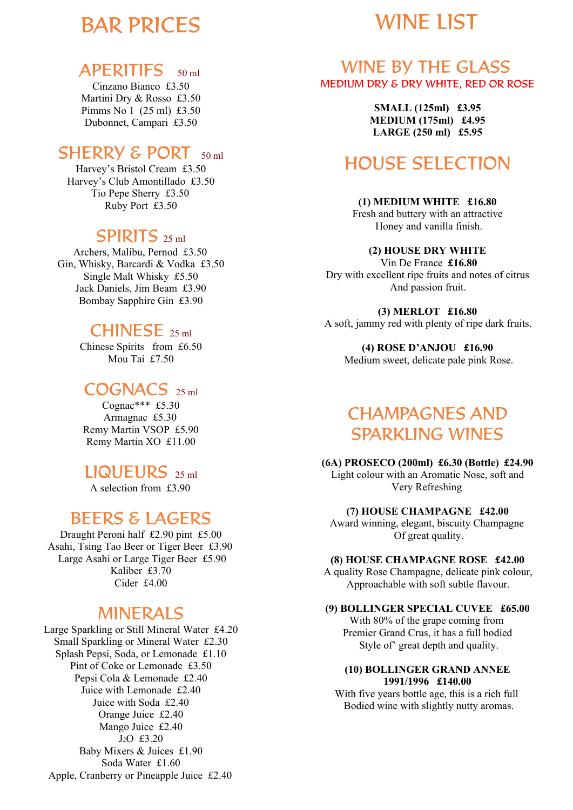# BAR PRICES

# WINE LIST

# APERITIFS 50 ml

Cinzano Bianco £3.50 Martini Dry & Rosso £3.50 Pimms No 1 (25 ml) £3.50 Dubonnet, Campari £3.50

# SHERRY & PORT 50 ml

Harvey's Bristol Cream £3.50 Harvey's Club Amontillado £3.50 Tio Pepe Sherry £3.50 Ruby Port £3.50

# SPIRITS 25 ml

Archers, Malibu, Pernod £3.50 Gin, Whisky, Barcardi & Vodka £3.50 Single Malt Whisky £5.50 Jack Daniels, Jim Beam £3.90 Bombay Sapphire Gin £3.90

# CHINESE<sub>25 ml</sub>

Chinese Spirits from £6.50 Mou Tai £7.50

# COGNACS 25 ml

Cognac\*\*\* £5.30 Armagnac £5.30 Remy Martin VSOP £5.90 Remy Martin XO £11.00

# LIQUEURS 25 ml

A selection from £3.90

# BEERS & LAGERS

Draught Peroni half £2.90 pint £5.00 Asahi, Tsing Tao Beer or Tiger Beer £3.90 Large Asahi or Large Tiger Beer £5.90 Kaliber £3.70 Cider £4.00

# MINERALS

Large Sparkling or Still Mineral Water £4.20 Small Sparkling or Mineral Water £2.30 Splash Pepsi, Soda, or Lemonade £1.10 Pint of Coke or Lemonade £3.50 Pepsi Cola & Lemonade £2.40 Juice with Lemonade £2.40 Juice with Soda £2.40 Orange Juice £2.40 Mango Juice £2.40 J2O £3.20 Baby Mixers & Juices £1.90 Soda Water £1.60 Apple, Cranberry or Pineapple Juice £2.40

## WINE BY THE GLASS MEDIUM DRY & DRY WHITE, RED OR ROSE

**SMALL (125ml) £3.95 MEDIUM (175ml) £4.95 LARGE (250 ml) £5.95**

# HOUSE SELECTION

**(1) MEDIUM WHITE £16.80** Fresh and buttery with an attractive Honey and vanilla finish.

### **(2) HOUSE DRY WHITE**

 Vin De France **£16.80** Dry with excellent ripe fruits and notes of citrus And passion fruit.

**(3) MERLOT £16.80** A soft, jammy red with plenty of ripe dark fruits.

**(4) ROSE D'ANJOU £16.90** Medium sweet, delicate pale pink Rose.

# CHAMPAGNES AND SPARKLING WINES

**(6A) PROSECO (200ml) £6.30 (Bottle) £24.90** Light colour with an Aromatic Nose, soft and

Very Refreshing

### **(7) HOUSE CHAMPAGNE £42.00**

Award winning, elegant, biscuity Champagne Of great quality.

### **(8) HOUSE CHAMPAGNE ROSE £42.00**

A quality Rose Champagne, delicate pink colour, Approachable with soft subtle flavour.

#### **(9) BOLLINGER SPECIAL CUVEE £65.00** With 80% of the grape coming from Premier Grand Crus, it has a full bodied

Style of' great depth and quality.

### **(10) BOLLINGER GRAND ANNEE 1991/1996 £140.00**

With five years bottle age, this is a rich full Bodied wine with slightly nutty aromas.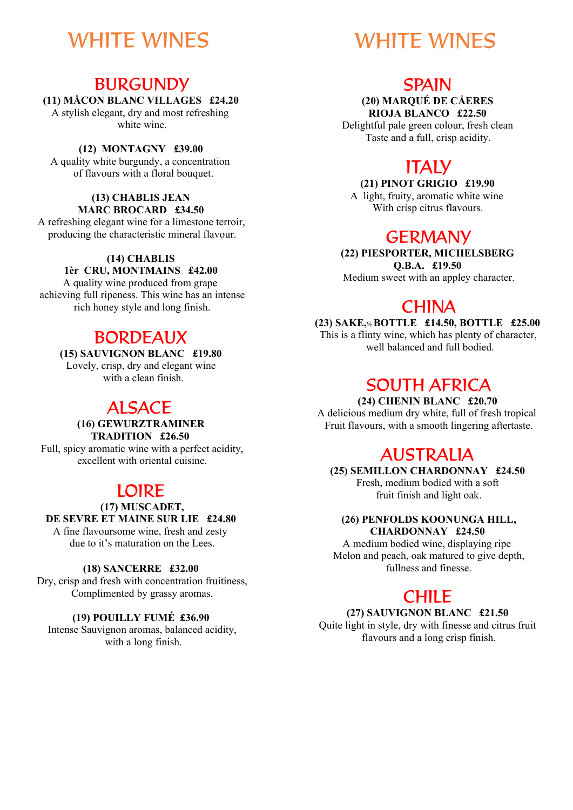# WHITE WINES

## BURGUNDY

## **(11) MÅCON BLANC VILLAGES £24.20**

A stylish elegant, dry and most refreshing white wine.

### **(12) MONTAGNY £39.00**

A quality white burgundy, a concentration of flavours with a floral bouquet.

#### **(13) CHABLIS JEAN MARC BROCARD £34.50**

A refreshing elegant wine for a limestone terroir, producing the characteristic mineral flavour.

### **(14) CHABLIS**

### **1èr CRU, MONTMAINS £42.00**

A quality wine produced from grape achieving full ripeness. This wine has an intense rich honey style and long finish.

## BORDEAUX

**(15) SAUVIGNON BLANC £19.80** Lovely, crisp, dry and elegant wine with a clean finish.

## ALSACE

**(16) GEWURZTRAMINER TRADITION £26.50** Full, spicy aromatic wine with a perfect acidity, excellent with oriental cuisine.

## LOIRE

#### **(17) MUSCADET, DE SEVRE ET MAINE SUR LIE £24.80** A fine flavoursome wine, fresh and zesty due to it's maturation on the Lees.

### **(18) SANCERRE £32.00**

Dry, crisp and fresh with concentration fruitiness, Complimented by grassy aromas.

### **(19) POUILLY FUMÉ £36.90**

Intense Sauvignon aromas, balanced acidity, with a long finish.

# WHITE WINES

## **SPAIN**

**(20) MARQUÉ DE CÅERES RIOJA BLANCO £22.50**

Delightful pale green colour, fresh clean Taste and a full, crisp acidity.

## **ITALY**

**(21) PINOT GRIGIO £19.90** A light, fruity, aromatic white wine With crisp citrus flavours.

## **GERMANY**

**(22) PIESPORTER, MICHELSBERG Q.B.A. £19.50** Medium sweet with an appley character.

## **CHINA**

**(23) SAKE,<sup>½</sup> BOTTLE £14.50, BOTTLE £25.00** This is a flinty wine, which has plenty of character, well balanced and full bodied.

## SOUTH AFRICA

**(24) CHENIN BLANC £20.70** A delicious medium dry white, full of fresh tropical Fruit flavours, with a smooth lingering aftertaste.

## AUSTRALIA

**(25) SEMILLON CHARDONNAY £24.50** Fresh, medium bodied with a soft fruit finish and light oak.

#### **(26) PENFOLDS KOONUNGA HILL, CHARDONNAY £24.50**

A medium bodied wine, displaying ripe Melon and peach, oak matured to give depth, fullness and finesse.

## CHILE

#### **(27) SAUVIGNON BLANC £21.50**

Quite light in style, dry with finesse and citrus fruit flavours and a long crisp finish.